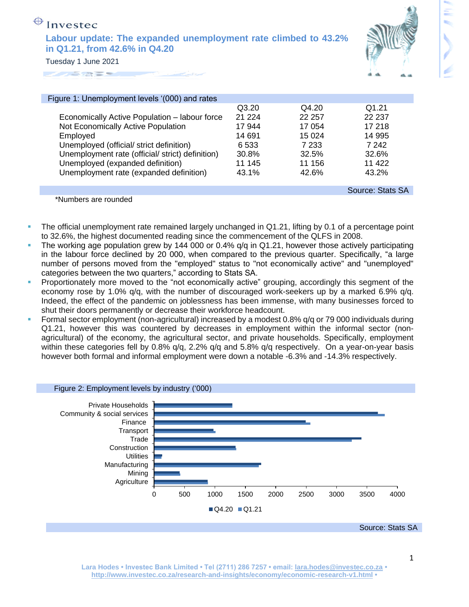| $\bigoplus$ Investec                                                                            |
|-------------------------------------------------------------------------------------------------|
| Labour update: The expanded unemployment rate climbed to 43.2%<br>in Q1.21, from 42.6% in Q4.20 |
| Tuesday 1 June 2021                                                                             |



| Figure 1: Unemployment levels '(000) and rates   |         |         |                  |
|--------------------------------------------------|---------|---------|------------------|
|                                                  | Q3.20   | Q4.20   | Q1.21            |
| Economically Active Population - labour force    | 21 2 24 | 22 257  | 22 237           |
| Not Economically Active Population               | 17 944  | 17 054  | 17 218           |
| Employed                                         | 14 691  | 15 0 24 | 14 995           |
| Unemployed (official/ strict definition)         | 6533    | 7 233   | 7 242            |
| Unemployment rate (official/ strict) definition) | 30.8%   | 32.5%   | 32.6%            |
| Unemployed (expanded definition)                 | 11 145  | 11 156  | 11 422           |
| Unemployment rate (expanded definition)          | 43.1%   | 42.6%   | 43.2%            |
|                                                  |         |         |                  |
|                                                  |         |         | Source: Stats SA |

\*Numbers are rounded

- The official unemployment rate remained largely unchanged in Q1.21, lifting by 0.1 of a percentage point to 32.6%, the highest documented reading since the commencement of the QLFS in 2008.
- The working age population grew by 144 000 or 0.4%  $q/q$  in Q1.21, however those actively participating in the labour force declined by 20 000, when compared to the previous quarter. Specifically, "a large number of persons moved from the "employed" status to "not economically active" and "unemployed" categories between the two quarters," according to Stats SA.
- Proportionately more moved to the "not economically active" grouping, accordingly this segment of the economy rose by 1.0% q/q, with the number of discouraged work-seekers up by a marked 6.9% q/q. Indeed, the effect of the pandemic on joblessness has been immense, with many businesses forced to shut their doors permanently or decrease their workforce headcount.
- **Formal sector employment (non-agricultural) increased by a modest 0.8% g/q or 79 000 individuals during** Q1.21, however this was countered by decreases in employment within the informal sector (nonagricultural) of the economy, the agricultural sector, and private households. Specifically, employment within these categories fell by 0.8% q/q, 2.2% q/q and 5.8% q/q respectively. On a year-on-year basis however both formal and informal employment were down a notable -6.3% and -14.3% respectively.

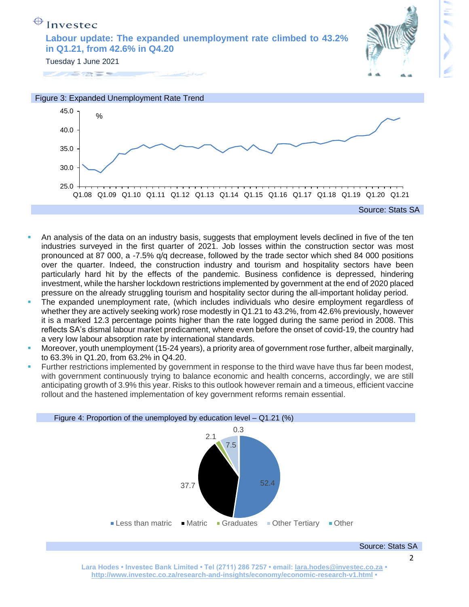





- An analysis of the data on an industry basis, suggests that employment levels declined in five of the ten industries surveyed in the first quarter of 2021. Job losses within the construction sector was most pronounced at 87 000, a -7.5% q/q decrease, followed by the trade sector which shed 84 000 positions over the quarter. Indeed, the construction industry and tourism and hospitality sectors have been particularly hard hit by the effects of the pandemic. Business confidence is depressed, hindering investment, while the harsher lockdown restrictions implemented by government at the end of 2020 placed pressure on the already struggling tourism and hospitality sector during the all-important holiday period.
- The expanded unemployment rate, (which includes individuals who desire employment regardless of whether they are actively seeking work) rose modestly in Q1.21 to 43.2%, from 42.6% previously, however it is a marked 12.3 percentage points higher than the rate logged during the same period in 2008. This reflects SA's dismal labour market predicament, where even before the onset of covid-19, the country had a very low labour absorption rate by international standards.
- Moreover, youth unemployment (15-24 years), a priority area of government rose further, albeit marginally, to 63.3% in Q1.20, from 63.2% in Q4.20.
- Further restrictions implemented by government in response to the third wave have thus far been modest, with government continuously trying to balance economic and health concerns, accordingly, we are still anticipating growth of 3.9% this year. Risks to this outlook however remain and a timeous, efficient vaccine rollout and the hastened implementation of key government reforms remain essential.

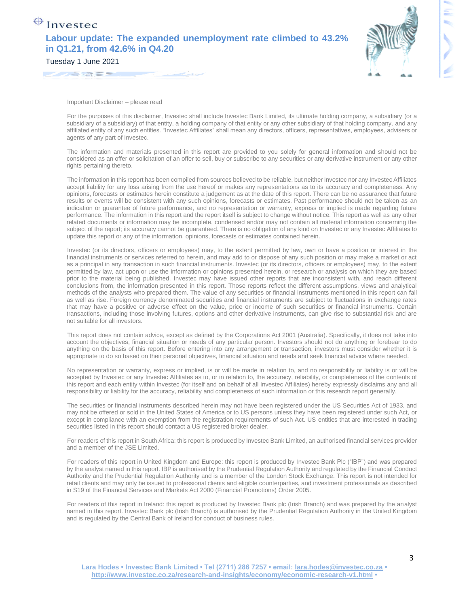| $\bigoplus$ Investec                                                                            |
|-------------------------------------------------------------------------------------------------|
| Labour update: The expanded unemployment rate climbed to 43.2%<br>in Q1.21, from 42.6% in Q4.20 |
| Tuesday 1 June 2021                                                                             |



For the purposes of this disclaimer, Investec shall include Investec Bank Limited, its ultimate holding company, a subsidiary (or a subsidiary of a subsidiary) of that entity, a holding company of that entity or any other subsidiary of that holding company, and any affiliated entity of any such entities. "Investec Affiliates" shall mean any directors, officers, representatives, employees, advisers or agents of any part of Investec.

The information and materials presented in this report are provided to you solely for general information and should not be considered as an offer or solicitation of an offer to sell, buy or subscribe to any securities or any derivative instrument or any other rights pertaining thereto.

The information in this report has been compiled from sources believed to be reliable, but neither Investec nor any Investec Affiliates accept liability for any loss arising from the use hereof or makes any representations as to its accuracy and completeness. Any opinions, forecasts or estimates herein constitute a judgement as at the date of this report. There can be no assurance that future results or events will be consistent with any such opinions, forecasts or estimates. Past performance should not be taken as an indication or guarantee of future performance, and no representation or warranty, express or implied is made regarding future performance. The information in this report and the report itself is subject to change without notice. This report as well as any other related documents or information may be incomplete, condensed and/or may not contain all material information concerning the subject of the report; its accuracy cannot be guaranteed. There is no obligation of any kind on Investec or any Investec Affiliates to update this report or any of the information, opinions, forecasts or estimates contained herein.

Investec (or its directors, officers or employees) may, to the extent permitted by law, own or have a position or interest in the financial instruments or services referred to herein, and may add to or dispose of any such position or may make a market or act as a principal in any transaction in such financial instruments. Investec (or its directors, officers or employees) may, to the extent permitted by law, act upon or use the information or opinions presented herein, or research or analysis on which they are based prior to the material being published. Investec may have issued other reports that are inconsistent with, and reach different conclusions from, the information presented in this report. Those reports reflect the different assumptions, views and analytical methods of the analysts who prepared them. The value of any securities or financial instruments mentioned in this report can fall as well as rise. Foreign currency denominated securities and financial instruments are subject to fluctuations in exchange rates that may have a positive or adverse effect on the value, price or income of such securities or financial instruments. Certain transactions, including those involving futures, options and other derivative instruments, can give rise to substantial risk and are not suitable for all investors.

This report does not contain advice, except as defined by the Corporations Act 2001 (Australia). Specifically, it does not take into account the objectives, financial situation or needs of any particular person. Investors should not do anything or forebear to do anything on the basis of this report. Before entering into any arrangement or transaction, investors must consider whether it is appropriate to do so based on their personal objectives, financial situation and needs and seek financial advice where needed.

No representation or warranty, express or implied, is or will be made in relation to, and no responsibility or liability is or will be accepted by Investec or any Investec Affiliates as to, or in relation to, the accuracy, reliability, or completeness of the contents of this report and each entity within Investec (for itself and on behalf of all Investec Affiliates) hereby expressly disclaims any and all responsibility or liability for the accuracy, reliability and completeness of such information or this research report generally.

The securities or financial instruments described herein may not have been registered under the US Securities Act of 1933, and may not be offered or sold in the United States of America or to US persons unless they have been registered under such Act, or except in compliance with an exemption from the registration requirements of such Act. US entities that are interested in trading securities listed in this report should contact a US registered broker dealer.

For readers of this report in South Africa: this report is produced by Investec Bank Limited, an authorised financial services provider and a member of the JSE Limited.

For readers of this report in United Kingdom and Europe: this report is produced by Investec Bank Plc ("IBP") and was prepared by the analyst named in this report. IBP is authorised by the Prudential Regulation Authority and regulated by the Financial Conduct Authority and the Prudential Regulation Authority and is a member of the London Stock Exchange. This report is not intended for retail clients and may only be issued to professional clients and eligible counterparties, and investment professionals as described in S19 of the Financial Services and Markets Act 2000 (Financial Promotions) Order 2005.

For readers of this report in Ireland: this report is produced by Investec Bank plc (Irish Branch) and was prepared by the analyst named in this report. Investec Bank plc (Irish Branch) is authorised by the Prudential Regulation Authority in the United Kingdom and is regulated by the Central Bank of Ireland for conduct of business rules.